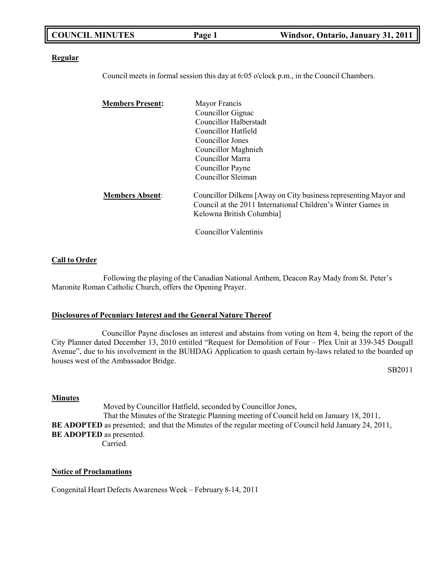|  | <b>COUNCIL MINUTES</b> | Page 1 | Windsor, Ontario, January 31, 2011 |
|--|------------------------|--------|------------------------------------|
|--|------------------------|--------|------------------------------------|

#### **Regular**

Council meets in formal session this day at 6:05 o'clock p.m., in the Council Chambers.

| <b>Members Present:</b> | Mayor Francis                                                                                                                                                 |
|-------------------------|---------------------------------------------------------------------------------------------------------------------------------------------------------------|
|                         | Councillor Gignac                                                                                                                                             |
|                         | <b>Councillor Halberstadt</b>                                                                                                                                 |
|                         | Councillor Hatfield                                                                                                                                           |
|                         | Councillor Jones                                                                                                                                              |
|                         | Councillor Maghnieh                                                                                                                                           |
|                         | Councillor Marra                                                                                                                                              |
|                         | Councillor Payne                                                                                                                                              |
|                         | Councillor Sleiman                                                                                                                                            |
| <b>Members Absent:</b>  | Councillor Dilkens [Away on City business representing Mayor and<br>Council at the 2011 International Children's Winter Games in<br>Kelowna British Columbia] |
|                         | <b>Councillor Valentinis</b>                                                                                                                                  |

**Call to Order**

Following the playing of the Canadian National Anthem, Deacon Ray Mady from St. Peter's Maronite Roman Catholic Church, offers the Opening Prayer.

#### **Disclosures of Pecuniary Interest and the General Nature Thereof**

Councillor Payne discloses an interest and abstains from voting on Item 4, being the report of the City Planner dated December 13, 2010 entitled "Request for Demolition of Four – Plex Unit at 339-345 Dougall Avenue", due to his involvement in the BUHDAG Application to quash certain by-laws related to the boarded up houses west of the Ambassador Bridge.

SB2011

#### **Minutes**

Moved by Councillor Hatfield, seconded by Councillor Jones, That the Minutes of the Strategic Planning meeting of Council held on January 18, 2011, **BE ADOPTED** as presented; and that the Minutes of the regular meeting of Council held January 24, 2011, **BE ADOPTED** as presented. Carried.

#### **Notice of Proclamations**

Congenital Heart Defects Awareness Week – February 8-14, 2011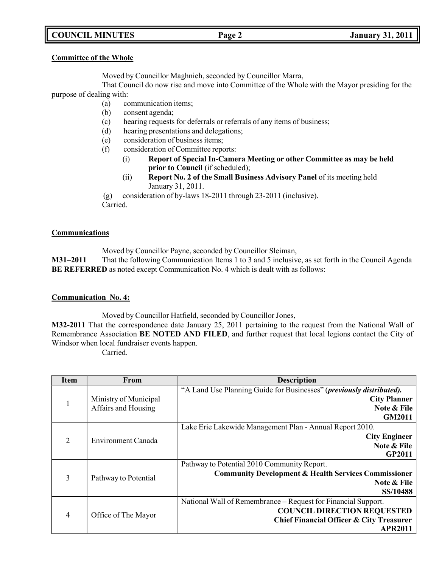# **COUNCIL MINUTES Page 2 January 31, 2011**

#### **Committee of the Whole**

Moved by Councillor Maghnieh, seconded by Councillor Marra,

That Council do now rise and move into Committee of the Whole with the Mayor presiding for the purpose of dealing with:

- (a) communication items;
- (b) consent agenda;
- (c) hearing requests for deferrals or referrals of any items of business;
- (d) hearing presentations and delegations;
- (e) consideration of business items;
- (f) consideration of Committee reports:
	- (i) **Report of Special In-Camera Meeting or other Committee as may be held prior to Council** (if scheduled);
	- (ii) **Report No. 2 of the Small Business Advisory Panel** of its meeting held January 31, 2011.

(g) consideration of by-laws 18-2011 through 23-2011 (inclusive). Carried.

### **Communications**

Moved by Councillor Payne, seconded by Councillor Sleiman,

**M31–2011** That the following Communication Items 1 to 3 and 5 inclusive, as set forth in the Council Agenda **BE REFERRED** as noted except Communication No. 4 which is dealt with as follows:

# **Communication No. 4:**

Moved by Councillor Hatfield, seconded by Councillor Jones,

**M32-2011** That the correspondence date January 25, 2011 pertaining to the request from the National Wall of Remembrance Association **BE NOTED AND FILED**, and further request that local legions contact the City of Windsor when local fundraiser events happen.

Carried.

| Item           | From                  | <b>Description</b>                                                   |
|----------------|-----------------------|----------------------------------------------------------------------|
|                |                       | "A Land Use Planning Guide for Businesses" (previously distributed). |
| 1              | Ministry of Municipal | <b>City Planner</b>                                                  |
|                | Affairs and Housing   | Note & File                                                          |
|                |                       | GM2011                                                               |
|                |                       | Lake Erie Lakewide Management Plan - Annual Report 2010.             |
| $\overline{2}$ | Environment Canada    | <b>City Engineer</b>                                                 |
|                |                       | Note & File                                                          |
|                |                       | <b>GP2011</b>                                                        |
|                |                       | Pathway to Potential 2010 Community Report.                          |
| 3              | Pathway to Potential  | <b>Community Development &amp; Health Services Commissioner</b>      |
|                |                       | Note & File                                                          |
|                |                       | SS/10488                                                             |
| 4              | Office of The Mayor   | National Wall of Remembrance – Request for Financial Support.        |
|                |                       | <b>COUNCIL DIRECTION REQUESTED</b>                                   |
|                |                       | Chief Financial Officer & City Treasurer                             |
|                |                       | <b>APR2011</b>                                                       |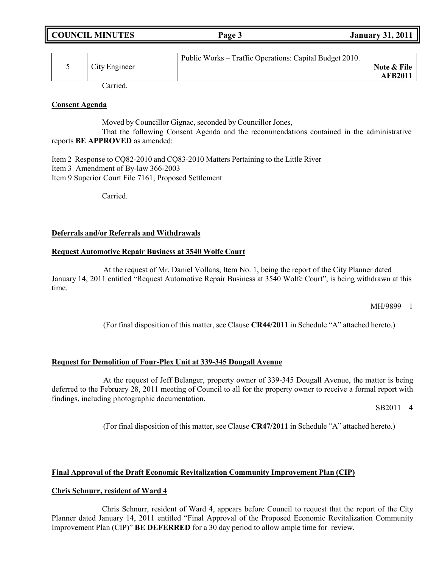| <b>COUNCIL MINUTES</b> | Page 3 | <b>January 31, 2011</b> |
|------------------------|--------|-------------------------|
|                        |        |                         |

|               | Public Works – Traffic Operations: Capital Budget 2010. |                |
|---------------|---------------------------------------------------------|----------------|
| City Engineer |                                                         | Note & File    |
|               |                                                         | <b>AFB2011</b> |

Carried.

### **Consent Agenda**

Moved by Councillor Gignac, seconded by Councillor Jones,

That the following Consent Agenda and the recommendations contained in the administrative reports **BE APPROVED** as amended:

Item 2 Response to CQ82-2010 and CQ83-2010 Matters Pertaining to the Little River Item 3 Amendment of By-law 366-2003 Item 9 Superior Court File 7161, Proposed Settlement

Carried.

### **Deferrals and/or Referrals and Withdrawals**

# **Request Automotive Repair Business at 3540 Wolfe Court**

At the request of Mr. Daniel Vollans, Item No. 1, being the report of the City Planner dated January 14, 2011 entitled "Request Automotive Repair Business at 3540 Wolfe Court", is being withdrawn at this time.

MH/9899 1

(For final disposition of this matter, see Clause **CR44/2011** in Schedule "A" attached hereto.)

### **Request for Demolition of Four-Plex Unit at 339-345 Dougall Avenue**

At the request of Jeff Belanger, property owner of 339-345 Dougall Avenue, the matter is being deferred to the February 28, 2011 meeting of Council to all for the property owner to receive a formal report with findings, including photographic documentation.

SB2011 4

(For final disposition of this matter, see Clause **CR47/2011** in Schedule "A" attached hereto.)

# **Final Approval of the Draft Economic Revitalization Community Improvement Plan (CIP)**

# **Chris Schnurr, resident of Ward 4**

Chris Schnurr, resident of Ward 4, appears before Council to request that the report of the City Planner dated January 14, 2011 entitled "Final Approval of the Proposed Economic Revitalization Community Improvement Plan (CIP)" **BE DEFERRED** for a 30 day period to allow ample time for review.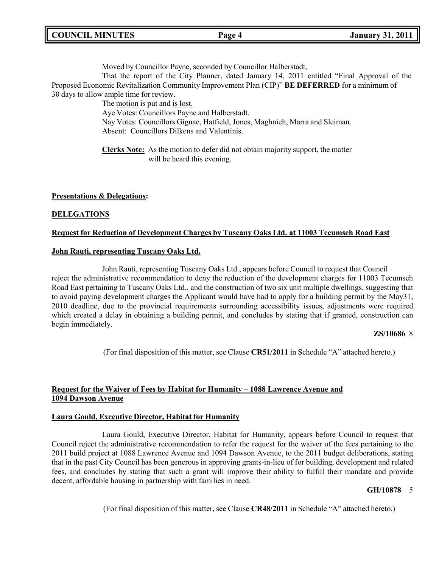Moved by Councillor Payne, seconded by Councillor Halberstadt,

That the report of the City Planner, dated January 14, 2011 entitled "Final Approval of the Proposed Economic Revitalization Community Improvement Plan (CIP)" **BE DEFERRED** for a minimum of 30 days to allow ample time for review.

The motion is put and is lost. Aye Votes: Councillors Payne and Halberstadt. Nay Votes: Councillors Gignac, Hatfield, Jones, Maghnieh, Marra and Sleiman. Absent: Councillors Dilkens and Valentinis.

**Clerks Note:** As the motion to defer did not obtain majority support, the matter will be heard this evening.

### **Presentations & Delegations:**

### **DELEGATIONS**

### **Request for Reduction of Development Charges by Tuscany Oaks Ltd. at 11003 Tecumseh Road East**

#### **John Rauti, representing Tuscany Oaks Ltd.**

John Rauti, representing Tuscany Oaks Ltd., appears before Council to request that Council reject the administrative recommendation to deny the reduction of the development charges for 11003 Tecumseh Road East pertaining to Tuscany Oaks Ltd., and the construction of two six unit multiple dwellings, suggesting that to avoid paying development charges the Applicant would have had to apply for a building permit by the May31, 2010 deadline, due to the provincial requirements surrounding accessibility issues, adjustments were required which created a delay in obtaining a building permit, and concludes by stating that if granted, construction can begin immediately.

#### **ZS/10686** 8

(For final disposition of this matter, see Clause **CR51/2011** in Schedule "A" attached hereto.)

# **Request for the Waiver of Fees by Habitat for Humanity – 1088 Lawrence Avenue and 1094 Dawson Avenue**

#### **Laura Gould, Executive Director, Habitat for Humanity**

Laura Gould, Executive Director, Habitat for Humanity, appears before Council to request that Council reject the administrative recommendation to refer the request for the waiver of the fees pertaining to the 2011 build project at 1088 Lawrence Avenue and 1094 Dawson Avenue, to the 2011 budget deliberations, stating that in the past City Council has been generous in approving grants-in-lieu of for building, development and related fees, and concludes by stating that such a grant will improve their ability to fulfill their mandate and provide decent, affordable housing in partnership with families in need.

#### **GH/10878** 5

(For final disposition of this matter, see Clause **CR48/2011** in Schedule "A" attached hereto.)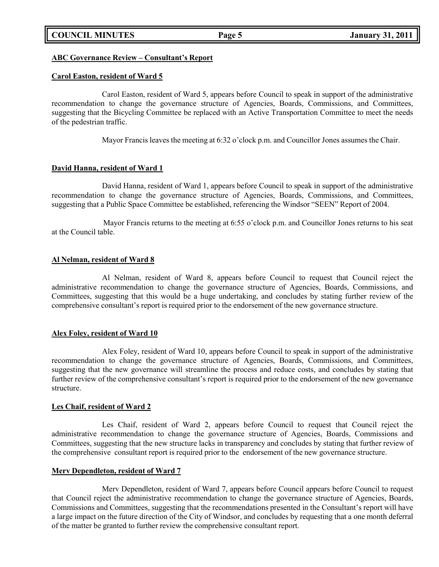#### **ABC Governance Review – Consultant's Report**

#### **Carol Easton, resident of Ward 5**

Carol Easton, resident of Ward 5, appears before Council to speak in support of the administrative recommendation to change the governance structure of Agencies, Boards, Commissions, and Committees, suggesting that the Bicycling Committee be replaced with an Active Transportation Committee to meet the needs of the pedestrian traffic.

Mayor Francis leaves the meeting at 6:32 o'clock p.m. and Councillor Jones assumes the Chair.

#### **David Hanna, resident of Ward 1**

David Hanna, resident of Ward 1, appears before Council to speak in support of the administrative recommendation to change the governance structure of Agencies, Boards, Commissions, and Committees, suggesting that a Public Space Committee be established, referencing the Windsor "SEEN" Report of 2004.

Mayor Francis returns to the meeting at 6:55 o'clock p.m. and Councillor Jones returns to his seat at the Council table.

#### **Al Nelman, resident of Ward 8**

Al Nelman, resident of Ward 8, appears before Council to request that Council reject the administrative recommendation to change the governance structure of Agencies, Boards, Commissions, and Committees, suggesting that this would be a huge undertaking, and concludes by stating further review of the comprehensive consultant's report is required prior to the endorsement of the new governance structure.

### **Alex Foley, resident of Ward 10**

Alex Foley, resident of Ward 10, appears before Council to speak in support of the administrative recommendation to change the governance structure of Agencies, Boards, Commissions, and Committees, suggesting that the new governance will streamline the process and reduce costs, and concludes by stating that further review of the comprehensive consultant's report is required prior to the endorsement of the new governance structure.

#### **Les Chaif, resident of Ward 2**

Les Chaif, resident of Ward 2, appears before Council to request that Council reject the administrative recommendation to change the governance structure of Agencies, Boards, Commissions and Committees, suggesting that the new structure lacks in transparency and concludes by stating that further review of the comprehensive consultant report is required prior to the endorsement of the new governance structure.

#### **Merv Dependleton, resident of Ward 7**

Merv Dependleton, resident of Ward 7, appears before Council appears before Council to request that Council reject the administrative recommendation to change the governance structure of Agencies, Boards, Commissions and Committees, suggesting that the recommendations presented in the Consultant's report will have a large impact on the future direction of the City of Windsor, and concludes by requesting that a one month deferral of the matter be granted to further review the comprehensive consultant report.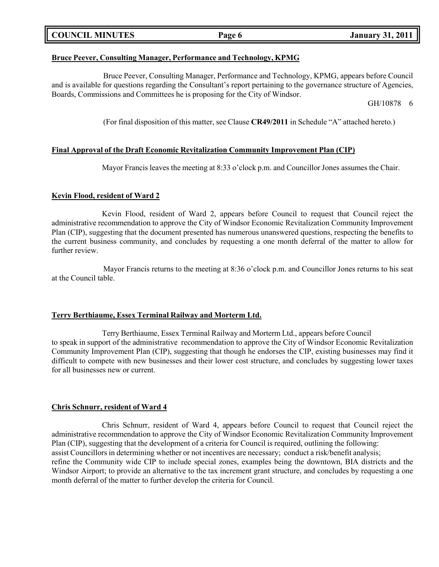| <b>COUNCIL MINUTES</b> |  |  |
|------------------------|--|--|
|------------------------|--|--|

## **Bruce Peever, Consulting Manager, Performance and Technology, KPMG**

Bruce Peever, Consulting Manager, Performance and Technology, KPMG, appears before Council and is available for questions regarding the Consultant's report pertaining to the governance structure of Agencies, Boards, Commissions and Committees he is proposing for the City of Windsor.

GH/10878 6

(For final disposition of this matter, see Clause **CR49/2011** in Schedule "A" attached hereto.)

# **Final Approval of the Draft Economic Revitalization Community Improvement Plan (CIP)**

Mayor Francis leaves the meeting at 8:33 o'clock p.m. and Councillor Jones assumes the Chair.

# **Kevin Flood, resident of Ward 2**

Kevin Flood, resident of Ward 2, appears before Council to request that Council reject the administrative recommendation to approve the City of Windsor Economic Revitalization Community Improvement Plan (CIP), suggesting that the document presented has numerous unanswered questions, respecting the benefits to the current business community, and concludes by requesting a one month deferral of the matter to allow for further review.

Mayor Francis returns to the meeting at 8:36 o'clock p.m. and Councillor Jones returns to his seat at the Council table.

### **Terry Berthiaume, Essex Terminal Railway and Morterm Ltd.**

Terry Berthiaume, Essex Terminal Railway and Morterm Ltd., appears before Council to speak in support of the administrative recommendation to approve the City of Windsor Economic Revitalization Community Improvement Plan (CIP), suggesting that though he endorses the CIP, existing businesses may find it difficult to compete with new businesses and their lower cost structure, and concludes by suggesting lower taxes for all businesses new or current.

### **Chris Schnurr, resident of Ward 4**

Chris Schnurr, resident of Ward 4, appears before Council to request that Council reject the administrative recommendation to approve the City of Windsor Economic Revitalization Community Improvement Plan (CIP), suggesting that the development of a criteria for Council is required, outlining the following: assist Councillors in determining whether or not incentives are necessary; conduct a risk/benefit analysis; refine the Community wide CIP to include special zones, examples being the downtown, BIA districts and the Windsor Airport; to provide an alternative to the tax increment grant structure, and concludes by requesting a one month deferral of the matter to further develop the criteria for Council.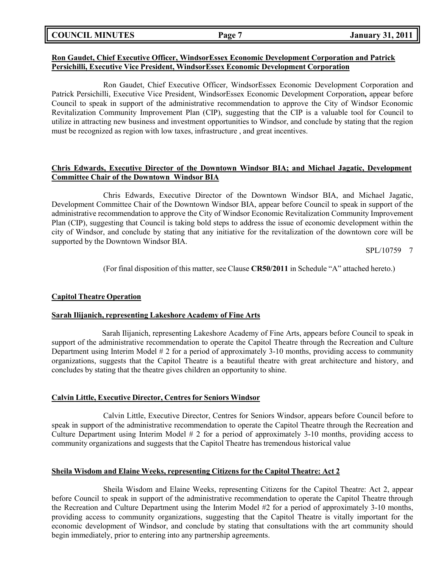| <b>COUNCIL MINUTES</b> |  |
|------------------------|--|
|------------------------|--|

#### **Ron Gaudet, Chief Executive Officer, WindsorEssex Economic Development Corporation and Patrick Persichilli, Executive Vice President, WindsorEssex Economic Development Corporation**

Ron Gaudet, Chief Executive Officer, WindsorEssex Economic Development Corporation and Patrick Persichilli, Executive Vice President, WindsorEssex Economic Development Corporation**,** appear before Council to speak in support of the administrative recommendation to approve the City of Windsor Economic Revitalization Community Improvement Plan (CIP), suggesting that the CIP is a valuable tool for Council to utilize in attracting new business and investment opportunities to Windsor, and conclude by stating that the region must be recognized as region with low taxes, infrastructure , and great incentives.

## **Chris Edwards, Executive Director of the Downtown Windsor BIA; and Michael Jagatic, Development Committee Chair of the Downtown Windsor BIA**

Chris Edwards, Executive Director of the Downtown Windsor BIA, and Michael Jagatic, Development Committee Chair of the Downtown Windsor BIA, appear before Council to speak in support of the administrative recommendation to approve the City of Windsor Economic Revitalization Community Improvement Plan (CIP), suggesting that Council is taking bold steps to address the issue of economic development within the city of Windsor, and conclude by stating that any initiative for the revitalization of the downtown core will be supported by the Downtown Windsor BIA.

SPL/10759 7

(For final disposition of this matter, see Clause **CR50/2011** in Schedule "A" attached hereto.)

### **Capitol Theatre Operation**

### **Sarah Ilijanich, representing Lakeshore Academy of Fine Arts**

Sarah Ilijanich, representing Lakeshore Academy of Fine Arts, appears before Council to speak in support of the administrative recommendation to operate the Capitol Theatre through the Recreation and Culture Department using Interim Model # 2 for a period of approximately 3-10 months, providing access to community organizations, suggests that the Capitol Theatre is a beautiful theatre with great architecture and history, and concludes by stating that the theatre gives children an opportunity to shine.

### **Calvin Little, Executive Director, Centres for Seniors Windsor**

Calvin Little, Executive Director, Centres for Seniors Windsor, appears before Council before to speak in support of the administrative recommendation to operate the Capitol Theatre through the Recreation and Culture Department using Interim Model # 2 for a period of approximately 3-10 months, providing access to community organizations and suggests that the Capitol Theatre has tremendous historical value

### **Sheila Wisdom and Elaine Weeks, representing Citizens for the Capitol Theatre: Act 2**

Sheila Wisdom and Elaine Weeks, representing Citizens for the Capitol Theatre: Act 2, appear before Council to speak in support of the administrative recommendation to operate the Capitol Theatre through the Recreation and Culture Department using the Interim Model #2 for a period of approximately 3-10 months, providing access to community organizations, suggesting that the Capitol Theatre is vitally important for the economic development of Windsor, and conclude by stating that consultations with the art community should begin immediately, prior to entering into any partnership agreements.

**COUNCIL EXAMPLE 12 ISONET 12011 January** 31, 2011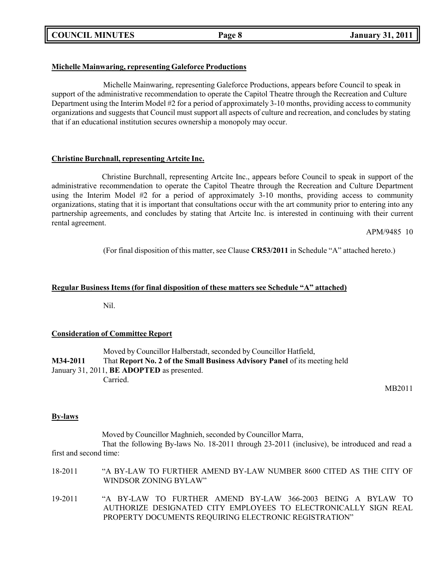**COUNCIL MINUTES Page 8 January 31, 2011**

# **Michelle Mainwaring, representing Galeforce Productions**

Michelle Mainwaring, representing Galeforce Productions, appears before Council to speak in support of the administrative recommendation to operate the Capitol Theatre through the Recreation and Culture Department using the Interim Model #2 for a period of approximately 3-10 months, providing access to community organizations and suggests that Council must support all aspects of culture and recreation, and concludes by stating that if an educational institution secures ownership a monopoly may occur.

# **Christine Burchnall, representing Artcite Inc.**

Christine Burchnall, representing Artcite Inc., appears before Council to speak in support of the administrative recommendation to operate the Capitol Theatre through the Recreation and Culture Department using the Interim Model #2 for a period of approximately 3-10 months, providing access to community organizations, stating that it is important that consultations occur with the art community prior to entering into any partnership agreements, and concludes by stating that Artcite Inc. is interested in continuing with their current rental agreement.

APM/9485 10

(For final disposition of this matter, see Clause **CR53/2011** in Schedule "A" attached hereto.)

## **Regular Business Items (for final disposition of these matters see Schedule "A" attached)**

Nil.

### **Consideration of Committee Report**

Moved by Councillor Halberstadt, seconded by Councillor Hatfield, **M34-2011** That **Report No. 2 of the Small Business Advisory Panel** of its meeting held January 31, 2011, **BE ADOPTED** as presented. Carried.

MB2011

# **By-laws**

Moved by Councillor Maghnieh, seconded by Councillor Marra,

That the following By-laws No. 18-2011 through 23-2011 (inclusive), be introduced and read a first and second time:

- 18-2011 "A BY-LAW TO FURTHER AMEND BY-LAW NUMBER 8600 CITED AS THE CITY OF WINDSOR ZONING BYLAW"
- 19-2011 "A BY-LAW TO FURTHER AMEND BY-LAW 366-2003 BEING A BYLAW TO AUTHORIZE DESIGNATED CITY EMPLOYEES TO ELECTRONICALLY SIGN REAL PROPERTY DOCUMENTS REQUIRING ELECTRONIC REGISTRATION"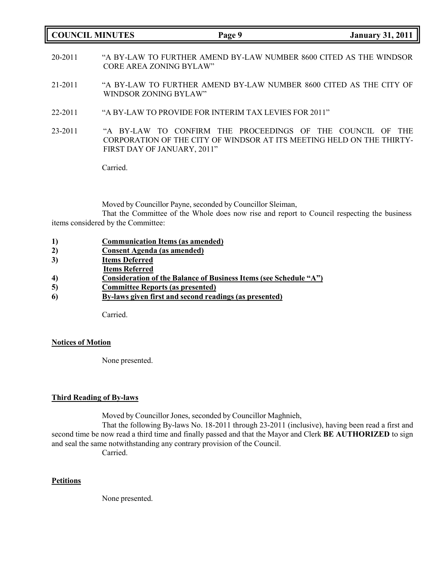### **COUNCIL MINUTES Page 9 January 31, 2011**

- 20-2011 "A BY-LAW TO FURTHER AMEND BY-LAW NUMBER 8600 CITED AS THE WINDSOR CORE AREA ZONING BYLAW"
- 21-2011 "A BY-LAW TO FURTHER AMEND BY-LAW NUMBER 8600 CITED AS THE CITY OF WINDSOR ZONING BYLAW"
- 22-2011 "A BY-LAW TO PROVIDE FOR INTERIM TAX LEVIES FOR 2011"
- 23-2011 "A BY-LAW TO CONFIRM THE PROCEEDINGS OF THE COUNCIL OF THE CORPORATION OF THE CITY OF WINDSOR AT ITS MEETING HELD ON THE THIRTY-FIRST DAY OF JANUARY, 2011"

Carried.

Moved by Councillor Payne, seconded by Councillor Sleiman,

That the Committee of the Whole does now rise and report to Council respecting the business items considered by the Committee:

- **2) Consent Agenda (as amended)**
- **3) Items Deferred**
- **Items Referred**
- **4) Consideration of the Balance of Business Items (see Schedule "A")**
- **5) Committee Reports (as presented)**
- **6) By-laws given first and second readings (as presented)**

Carried.

#### **Notices of Motion**

None presented.

## **Third Reading of By-laws**

Moved by Councillor Jones, seconded by Councillor Maghnieh,

That the following By-laws No. 18-2011 through 23-2011 (inclusive), having been read a first and second time be now read a third time and finally passed and that the Mayor and Clerk **BE AUTHORIZED** to sign and seal the same notwithstanding any contrary provision of the Council.

Carried.

### **Petitions**

None presented.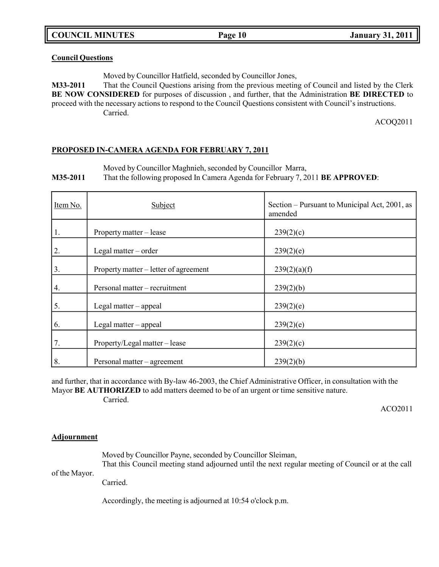**COUNCIL MINUTES Page 10 January 31, 2011**

## **Council Questions**

Moved by Councillor Hatfield, seconded by Councillor Jones,

**M33-2011** That the Council Questions arising from the previous meeting of Council and listed by the Clerk **BE NOW CONSIDERED** for purposes of discussion , and further, that the Administration **BE DIRECTED** to proceed with the necessary actions to respond to the Council Questions consistent with Council's instructions. Carried.

ACOQ2011

### **PROPOSED IN-CAMERA AGENDA FOR FEBRUARY 7, 2011**

Moved by Councillor Maghnieh, seconded by Councillor Marra,

**M35-2011** That the following proposed In Camera Agenda for February 7, 2011 **BE APPROVED**:

| Item No. | Subject                               | Section – Pursuant to Municipal Act, 2001, as<br>amended |
|----------|---------------------------------------|----------------------------------------------------------|
| 1.       | Property matter – lease               | 239(2)(c)                                                |
| 2.       | Legal matter $-$ order                | 239(2)(e)                                                |
| 3.       | Property matter – letter of agreement | 239(2)(a)(f)                                             |
| 4.       | Personal matter - recruitment         | 239(2)(b)                                                |
| 5.       | Legal matter – appeal                 | 239(2)(e)                                                |
| 6.       | Legal matter – appeal                 | 239(2)(e)                                                |
| 7.       | Property/Legal matter – lease         | 239(2)(c)                                                |
| 8.       | Personal matter – agreement           | 239(2)(b)                                                |

and further, that in accordance with By-law 46-2003, the Chief Administrative Officer, in consultation with the Mayor **BE AUTHORIZED** to add matters deemed to be of an urgent or time sensitive nature. Carried.

ACO2011

### **Adjournment**

of the Mayor. Moved by Councillor Payne, seconded by Councillor Sleiman, That this Council meeting stand adjourned until the next regular meeting of Council or at the call

Carried.

Accordingly, the meeting is adjourned at 10:54 o'clock p.m.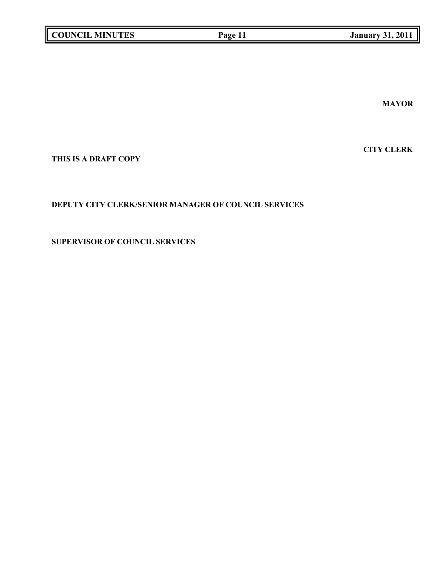**MAYOR**

**CITY CLERK**

**THIS IS A DRAFT COPY**

# **DEPUTY CITY CLERK/SENIOR MANAGER OF COUNCIL SERVICES**

**SUPERVISOR OF COUNCIL SERVICES**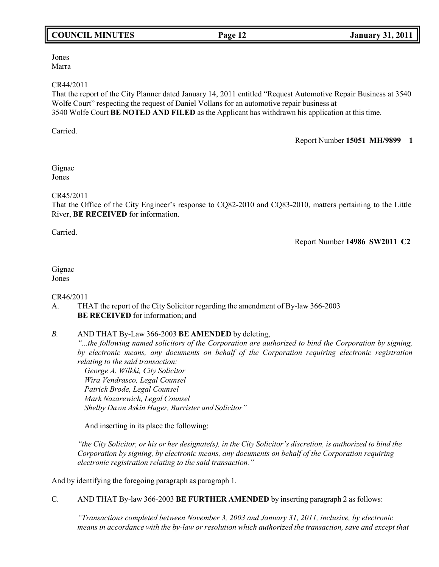# **COUNCIL MINUTES Page 12 January 31, 2011**

Jones Marra

#### CR44/2011

That the report of the City Planner dated January 14, 2011 entitled "Request Automotive Repair Business at 3540 Wolfe Court" respecting the request of Daniel Vollans for an automotive repair business at 3540 Wolfe Court **BE NOTED AND FILED** as the Applicant has withdrawn his application at this time.

Carried.

#### Report Number **15051 MH/9899 1**

Gignac Jones

### CR45/2011

That the Office of the City Engineer's response to CQ82-2010 and CQ83-2010, matters pertaining to the Little River, **BE RECEIVED** for information.

Carried.

Report Number **14986 SW2011 C2**

# Gignac

Jones

### CR46/2011

# A. THAT the report of the City Solicitor regarding the amendment of By-law 366-2003 **BE RECEIVED** for information; and

## *B.* AND THAT By-Law 366-2003 **BE AMENDED** by deleting,

*"...the following named solicitors of the Corporation are authorized to bind the Corporation by signing, by electronic means, any documents on behalf of the Corporation requiring electronic registration relating to the said transaction:*

*George A. Wilkki, City Solicitor Wira Vendrasco, Legal Counsel Patrick Brode, Legal Counsel Mark Nazarewich, Legal Counsel Shelby Dawn Askin Hager, Barrister and Solicitor"*

And inserting in its place the following:

"the City Solicitor, or his or her designate(s), in the City Solicitor's discretion, is authorized to bind the *Corporation by signing, by electronic means, any documents on behalf of the Corporation requiring electronic registration relating to the said transaction."*

And by identifying the foregoing paragraph as paragraph 1.

C. AND THAT By-law 366-2003 **BE FURTHER AMENDED** by inserting paragraph 2 as follows:

*"Transactions completed between November 3, 2003 and January 31, 2011, inclusive, by electronic means in accordance with the by-law or resolution which authorized the transaction, save and except that*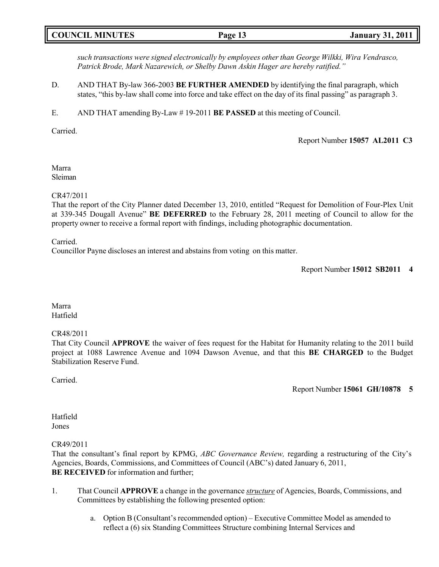|--|

*such transactions were signed electronically by employees other than George Wilkki, Wira Vendrasco, Patrick Brode, Mark Nazarewich, or Shelby Dawn Askin Hager are hereby ratified."*

- D. AND THAT By-law 366-2003 **BE FURTHER AMENDED** by identifying the final paragraph, which states, "this by-law shall come into force and take effect on the day of its final passing" as paragraph 3.
- E. AND THAT amending By-Law # 19-2011 **BE PASSED** at this meeting of Council.

Carried.

Report Number **15057 AL2011 C3**

Marra Sleiman

#### CR47/2011

That the report of the City Planner dated December 13, 2010, entitled "Request for Demolition of Four-Plex Unit at 339-345 Dougall Avenue" **BE DEFERRED** to the February 28, 2011 meeting of Council to allow for the property owner to receive a formal report with findings, including photographic documentation.

Carried.

Councillor Payne discloses an interest and abstains from voting on this matter.

Marra Hatfield

### CR48/2011

That City Council **APPROVE** the waiver of fees request for the Habitat for Humanity relating to the 2011 build project at 1088 Lawrence Avenue and 1094 Dawson Avenue, and that this **BE CHARGED** to the Budget Stabilization Reserve Fund.

Carried.

Report Number **15061 GH/10878 5**

Hatfield Jones

CR49/2011

That the consultant's final report by KPMG, *ABC Governance Review,* regarding a restructuring of the City's Agencies, Boards, Commissions, and Committees of Council (ABC's) dated January 6, 2011, **BE RECEIVED** for information and further;

- 1. That Council **APPROVE** a change in the governance *structure* of Agencies, Boards, Commissions, and Committees by establishing the following presented option:
	- a. Option B (Consultant's recommended option) Executive Committee Model as amended to reflect a (6) six Standing Committees Structure combining Internal Services and

Report Number **15012 SB2011 4**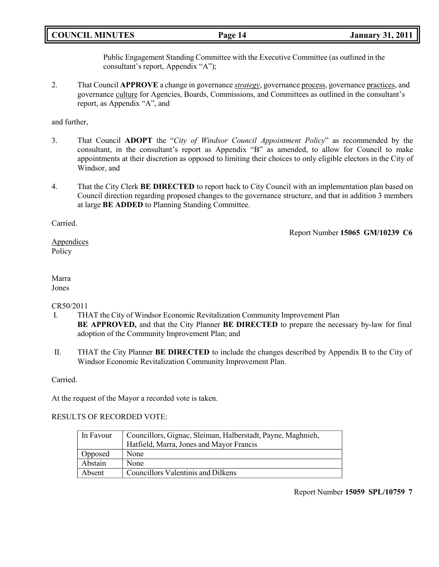# **COUNCIL MINUTES Page 14 January 31, 2011**

Public Engagement Standing Committee with the Executive Committee (as outlined in the consultant's report, Appendix "A");

2. That Council **APPROVE** a change in governance *strategy*, governance process, governance practices, and governance culture for Agencies, Boards, Commissions, and Committees as outlined in the consultant's report, as Appendix "A", and

and further,

- 3. That Council **ADOPT** the "*City of Windsor Council Appointment Policy*" as recommended by the consultant, in the consultant's report as Appendix "B" as amended, to allow for Council to make appointments at their discretion as opposed to limiting their choices to only eligible electors in the City of Windsor, and
- 4. That the City Clerk **BE DIRECTED** to report back to City Council with an implementation plan based on Council direction regarding proposed changes to the governance structure, and that in addition 3 members at large **BE ADDED** to Planning Standing Committee.

Carried.

Report Number **15065 GM/10239 C6**

Appendices Policy

#### Marra Jones

### CR50/2011

- I. THAT the City of Windsor Economic Revitalization Community Improvement Plan **BE APPROVED,** and that the City Planner **BE DIRECTED** to prepare the necessary by-law for final adoption of the Community Improvement Plan; and
- II. THAT the City Planner **BE DIRECTED** to include the changes described by Appendix B to the City of Windsor Economic Revitalization Community Improvement Plan.

Carried.

At the request of the Mayor a recorded vote is taken.

### RESULTS OF RECORDED VOTE:

| l In Favour | Councillors, Gignac, Sleiman, Halberstadt, Payne, Maghnieh, |
|-------------|-------------------------------------------------------------|
|             | Hatfield, Marra, Jones and Mayor Francis                    |
| Opposed     | None                                                        |
| Abstain     | None                                                        |
| Absent      | Councillors Valentinis and Dilkens                          |

Report Number **15059 SPL/10759 7**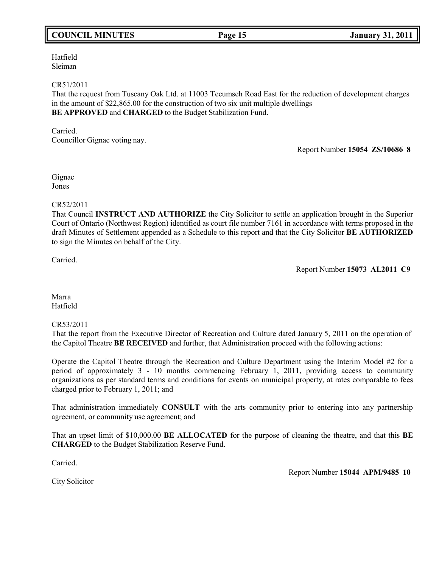# **COUNCIL MINUTES Page 15 January 31, 2011**

Hatfield Sleiman

#### CR51/2011

That the request from Tuscany Oak Ltd. at 11003 Tecumseh Road East for the reduction of development charges in the amount of \$22,865.00 for the construction of two six unit multiple dwellings **BE APPROVED** and **CHARGED** to the Budget Stabilization Fund.

Carried. Councillor Gignac voting nay.

Report Number **15054 ZS/10686 8**

Gignac Jones

### CR52/2011

That Council **INSTRUCT AND AUTHORIZE** the City Solicitor to settle an application brought in the Superior Court of Ontario (Northwest Region) identified as court file number 7161 in accordance with terms proposed in the draft Minutes of Settlement appended as a Schedule to this report and that the City Solicitor **BE AUTHORIZED** to sign the Minutes on behalf of the City.

Carried.

Report Number **15073 AL2011 C9**

Marra Hatfield

#### CR53/2011

That the report from the Executive Director of Recreation and Culture dated January 5, 2011 on the operation of the Capitol Theatre **BE RECEIVED** and further, that Administration proceed with the following actions:

Operate the Capitol Theatre through the Recreation and Culture Department using the Interim Model #2 for a period of approximately 3 - 10 months commencing February 1, 2011, providing access to community organizations as per standard terms and conditions for events on municipal property, at rates comparable to fees charged prior to February 1, 2011; and

That administration immediately **CONSULT** with the arts community prior to entering into any partnership agreement, or community use agreement; and

That an upset limit of \$10,000.00 **BE ALLOCATED** for the purpose of cleaning the theatre, and that this **BE CHARGED** to the Budget Stabilization Reserve Fund.

Carried.

Report Number **15044 APM/9485 10**

City Solicitor